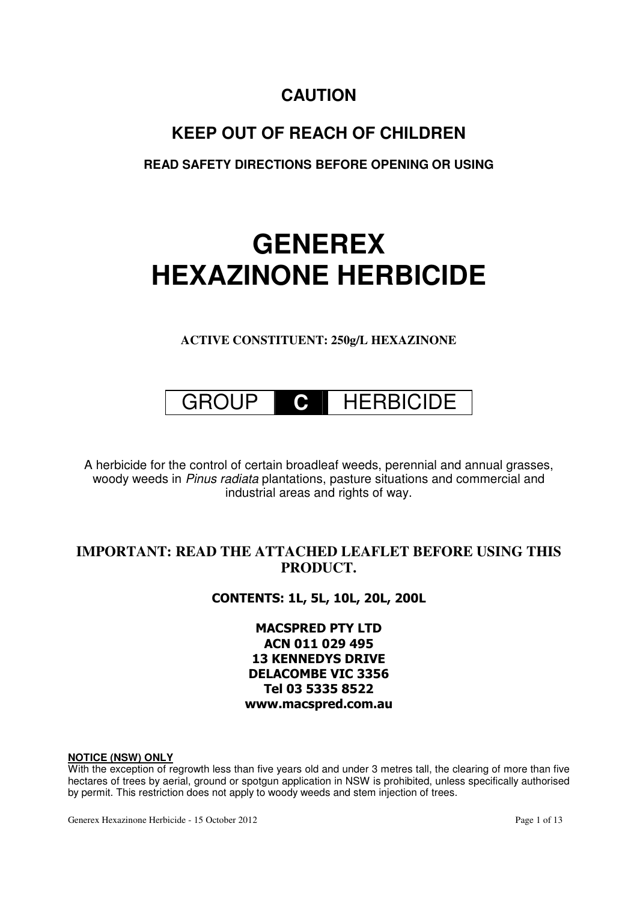# **CAUTION**

# **KEEP OUT OF REACH OF CHILDREN**

**READ SAFETY DIRECTIONS BEFORE OPENING OR USING** 

# **GENEREX HEXAZINONE HERBICIDE**

**ACTIVE CONSTITUENT: 250g/L HEXAZINONE** 



A herbicide for the control of certain broadleaf weeds, perennial and annual grasses, woody weeds in Pinus radiata plantations, pasture situations and commercial and industrial areas and rights of way.

# **IMPORTANT: READ THE ATTACHED LEAFLET BEFORE USING THIS PRODUCT.**

CONTENTS: 1L, 5L, 10L, 20L, 200L

MACSPRED PTY LTD ACN 011 029 495 13 KENNEDYS DRIVE DELACOMBE VIC 3356 Tel 03 5335 8522 www.macspred.com.au

### **NOTICE (NSW) ONLY**

With the exception of regrowth less than five years old and under 3 metres tall, the clearing of more than five hectares of trees by aerial, ground or spotgun application in NSW is prohibited, unless specifically authorised by permit. This restriction does not apply to woody weeds and stem injection of trees.

Generex Hexazinone Herbicide - 15 October 2012 **Page 1 of 13** Page 1 of 13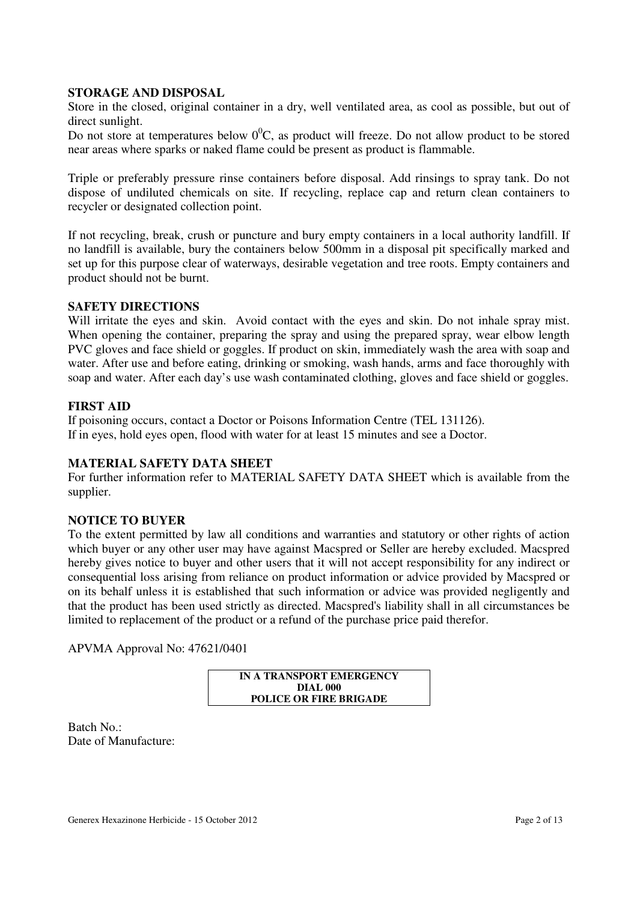# **STORAGE AND DISPOSAL**

Store in the closed, original container in a dry, well ventilated area, as cool as possible, but out of direct sunlight.

Do not store at temperatures below  $0^0C$ , as product will freeze. Do not allow product to be stored near areas where sparks or naked flame could be present as product is flammable.

Triple or preferably pressure rinse containers before disposal. Add rinsings to spray tank. Do not dispose of undiluted chemicals on site. If recycling, replace cap and return clean containers to recycler or designated collection point.

If not recycling, break, crush or puncture and bury empty containers in a local authority landfill. If no landfill is available, bury the containers below 500mm in a disposal pit specifically marked and set up for this purpose clear of waterways, desirable vegetation and tree roots. Empty containers and product should not be burnt.

# **SAFETY DIRECTIONS**

Will irritate the eyes and skin. Avoid contact with the eyes and skin. Do not inhale spray mist. When opening the container, preparing the spray and using the prepared spray, wear elbow length PVC gloves and face shield or goggles. If product on skin, immediately wash the area with soap and water. After use and before eating, drinking or smoking, wash hands, arms and face thoroughly with soap and water. After each day's use wash contaminated clothing, gloves and face shield or goggles.

# **FIRST AID**

If poisoning occurs, contact a Doctor or Poisons Information Centre (TEL 131126). If in eyes, hold eyes open, flood with water for at least 15 minutes and see a Doctor.

# **MATERIAL SAFETY DATA SHEET**

For further information refer to MATERIAL SAFETY DATA SHEET which is available from the supplier.

# **NOTICE TO BUYER**

To the extent permitted by law all conditions and warranties and statutory or other rights of action which buyer or any other user may have against Macspred or Seller are hereby excluded. Macspred hereby gives notice to buyer and other users that it will not accept responsibility for any indirect or consequential loss arising from reliance on product information or advice provided by Macspred or on its behalf unless it is established that such information or advice was provided negligently and that the product has been used strictly as directed. Macspred's liability shall in all circumstances be limited to replacement of the product or a refund of the purchase price paid therefor.

APVMA Approval No: 47621/0401

**IN A TRANSPORT EMERGENCY DIAL 000 POLICE OR FIRE BRIGADE** 

Batch No.: Date of Manufacture: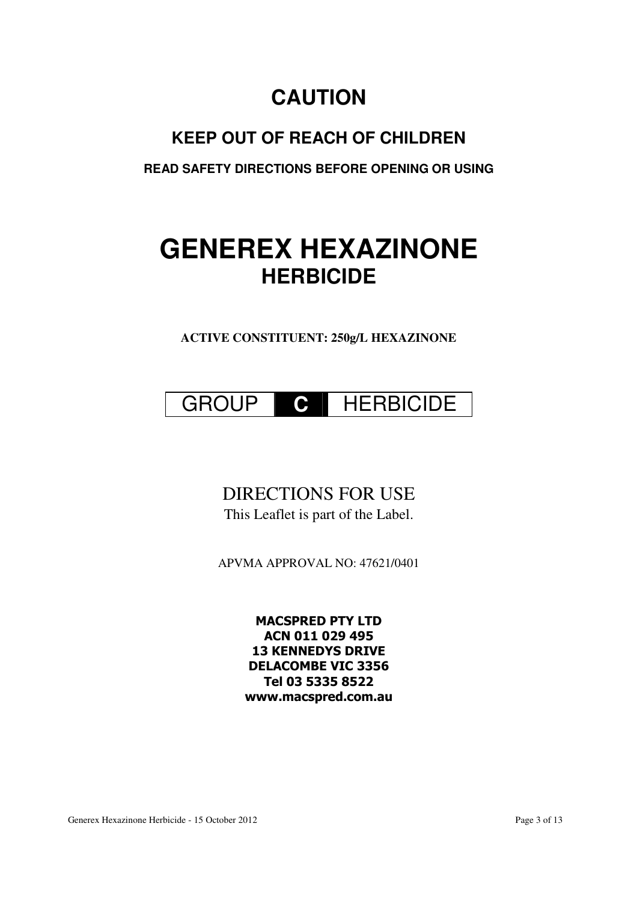# **CAUTION**

# **KEEP OUT OF REACH OF CHILDREN**

**READ SAFETY DIRECTIONS BEFORE OPENING OR USING** 

# **GENEREX HEXAZINONE HERBICIDE**

**ACTIVE CONSTITUENT: 250g/L HEXAZINONE** 



# DIRECTIONS FOR USE

This Leaflet is part of the Label.

APVMA APPROVAL NO: 47621/0401

MACSPRED PTY LTD ACN 011 029 495 13 KENNEDYS DRIVE DELACOMBE VIC 3356 Tel 03 5335 8522 www.macspred.com.au

Generex Hexazinone Herbicide - 15 October 2012 **Page 3 of 13** Page 3 of 13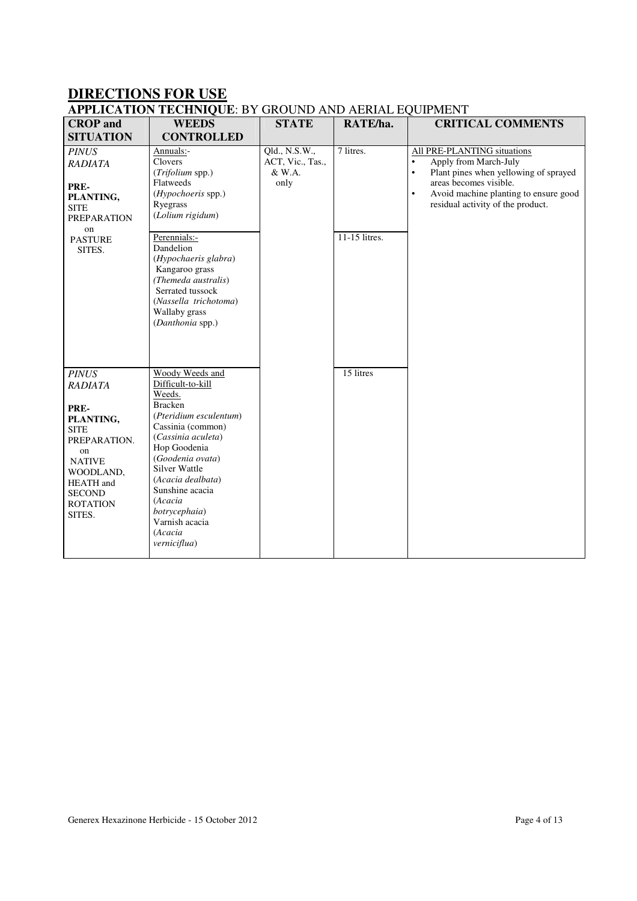# **DIRECTIONS FOR USE**

| <b>APPLICATION TECHNIQUE: BY GROUND AND AERIAL EQUIPMENT</b> |                                               |                                             |           |                                                      |  |  |
|--------------------------------------------------------------|-----------------------------------------------|---------------------------------------------|-----------|------------------------------------------------------|--|--|
| <b>CROP</b> and<br><b>SITUATION</b>                          | <b>WEEDS</b><br><b>CONTROLLED</b>             | <b>STATE</b>                                | RATE/ha.  | <b>CRITICAL COMMENTS</b>                             |  |  |
| <i>PINUS</i><br><b>RADIATA</b>                               | Annuals:-<br>Clovers<br>$\sqrt{m}$ $\sqrt{m}$ | Old., N.S.W.,<br>ACT, Vic., Tas.,<br>0.337A | 7 litres. | All PRE-PLANTING situations<br>Apply from March-July |  |  |

| <b>DI LUA LIUIT</b>                                                                                                                                                                      | CORTINOLLED                                                                                                                                                                                                                                                                                                        |                                                     |                            |                                                                                                                                                                                                                                              |
|------------------------------------------------------------------------------------------------------------------------------------------------------------------------------------------|--------------------------------------------------------------------------------------------------------------------------------------------------------------------------------------------------------------------------------------------------------------------------------------------------------------------|-----------------------------------------------------|----------------------------|----------------------------------------------------------------------------------------------------------------------------------------------------------------------------------------------------------------------------------------------|
| <b>PINUS</b><br><b>RADIATA</b><br>PRE-<br>PLANTING,<br><b>SITE</b><br><b>PREPARATION</b><br>on<br><b>PASTURE</b><br>SITES.                                                               | Annuals:-<br>Clovers<br>(Trifolium spp.)<br>Flatweeds<br>(Hypochoeris spp.)<br>Ryegrass<br>(Lolium rigidum)<br>Perennials:-<br>Dandelion<br>(Hypochaeris glabra)<br>Kangaroo grass<br>(Themeda australis)<br>Serrated tussock<br>(Nassella trichotoma)<br>Wallaby grass<br>(Danthonia spp.)                        | Qld., N.S.W.,<br>ACT, Vic., Tas.,<br>& W.A.<br>only | 7 litres.<br>11-15 litres. | All PRE-PLANTING situations<br>Apply from March-July<br>$\bullet$<br>Plant pines when yellowing of sprayed<br>$\bullet$<br>areas becomes visible.<br>Avoid machine planting to ensure good<br>$\bullet$<br>residual activity of the product. |
| <b>PINUS</b><br><b>RADIATA</b><br>PRE-<br>PLANTING,<br><b>SITE</b><br>PREPARATION.<br>on<br><b>NATIVE</b><br>WOODLAND,<br><b>HEATH</b> and<br><b>SECOND</b><br><b>ROTATION</b><br>SITES. | Woody Weeds and<br>Difficult-to-kill<br>Weeds.<br><b>Bracken</b><br>(Pteridium esculentum)<br>Cassinia (common)<br>(Cassinia aculeta)<br>Hop Goodenia<br>(Goodenia ovata)<br><b>Silver Wattle</b><br>(Acacia dealbata)<br>Sunshine acacia<br>(Acacia<br>botrycephaia)<br>Varnish acacia<br>(Acacia<br>verniciflua) |                                                     | 15 litres                  |                                                                                                                                                                                                                                              |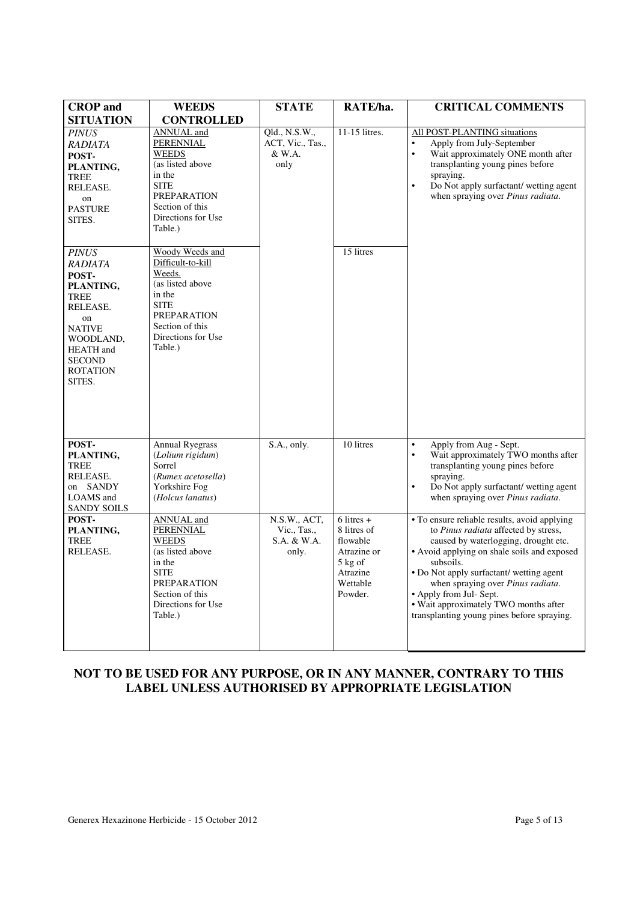| <b>CROP</b> and                                                                                                                                                     | <b>WEEDS</b>                                                                                                                                                                                                                                                 | <b>STATE</b>                                        | RATE/ha.                                                                                                         | <b>CRITICAL COMMENTS</b>                                                                                                                                                                                                                                                                                                                                                                    |
|---------------------------------------------------------------------------------------------------------------------------------------------------------------------|--------------------------------------------------------------------------------------------------------------------------------------------------------------------------------------------------------------------------------------------------------------|-----------------------------------------------------|------------------------------------------------------------------------------------------------------------------|---------------------------------------------------------------------------------------------------------------------------------------------------------------------------------------------------------------------------------------------------------------------------------------------------------------------------------------------------------------------------------------------|
| <b>SITUATION</b>                                                                                                                                                    | <b>CONTROLLED</b>                                                                                                                                                                                                                                            |                                                     |                                                                                                                  |                                                                                                                                                                                                                                                                                                                                                                                             |
| <b>PINUS</b><br>RADIATA<br>POST-<br>PLANTING,<br><b>TREE</b><br>RELEASE.<br>on<br><b>PASTURE</b><br>SITES.<br><b>PINUS</b><br>RADIATA<br>POST-<br>PLANTING,<br>TREE | <b>ANNUAL</b> and<br><b>PERENNIAL</b><br><b>WEEDS</b><br>(as listed above<br>in the<br><b>SITE</b><br><b>PREPARATION</b><br>Section of this<br>Directions for Use<br>Table.)<br>Woody Weeds and<br>Difficult-to-kill<br>Weeds.<br>(as listed above<br>in the | Qld., N.S.W.,<br>ACT, Vic., Tas.,<br>& W.A.<br>only | 11-15 litres.<br>15 litres                                                                                       | All POST-PLANTING situations<br>Apply from July-September<br>$\bullet$<br>$\bullet$<br>Wait approximately ONE month after<br>transplanting young pines before<br>spraying.<br>Do Not apply surfactant/ wetting agent<br>$\bullet$<br>when spraying over <i>Pinus radiata</i> .                                                                                                              |
| RELEASE.<br>on<br><b>NATIVE</b><br>WOODLAND,<br><b>HEATH</b> and<br><b>SECOND</b><br><b>ROTATION</b><br>SITES.                                                      | <b>SITE</b><br><b>PREPARATION</b><br>Section of this<br>Directions for Use<br>Table.)                                                                                                                                                                        |                                                     |                                                                                                                  |                                                                                                                                                                                                                                                                                                                                                                                             |
| POST-<br>PLANTING,<br><b>TREE</b><br>RELEASE.<br>on SANDY<br>LOAMS and<br><b>SANDY SOILS</b>                                                                        | <b>Annual Ryegrass</b><br>(Lolium rigidum)<br>Sorrel<br>(Rumex acetosella)<br>Yorkshire Fog<br>(Holcus lanatus)                                                                                                                                              | S.A., only.                                         | 10 litres                                                                                                        | Apply from Aug - Sept.<br>$\bullet$<br>$\bullet$<br>Wait approximately TWO months after<br>transplanting young pines before<br>spraying.<br>Do Not apply surfactant/ wetting agent<br>$\bullet$<br>when spraying over Pinus radiata.                                                                                                                                                        |
| POST-<br>PLANTING,<br>TREE<br>RELEASE.                                                                                                                              | <b>ANNUAL</b> and<br><b>PERENNIAL</b><br><b>WEEDS</b><br>(as listed above<br>in the<br><b>SITE</b><br><b>PREPARATION</b><br>Section of this<br>Directions for Use<br>Table.)                                                                                 | N.S.W., ACT,<br>Vic., Tas.,<br>S.A. & W.A.<br>only. | $6$ litres $+$<br>8 litres of<br>flowable<br>Atrazine or<br>$5 \text{ kg of}$<br>Atrazine<br>Wettable<br>Powder. | • To ensure reliable results, avoid applying<br>to Pinus radiata affected by stress,<br>caused by waterlogging, drought etc.<br>• Avoid applying on shale soils and exposed<br>subsoils.<br>• Do Not apply surfactant/ wetting agent<br>when spraying over Pinus radiata.<br>• Apply from Jul- Sept.<br>• Wait approximately TWO months after<br>transplanting young pines before spraying. |

# **NOT TO BE USED FOR ANY PURPOSE, OR IN ANY MANNER, CONTRARY TO THIS LABEL UNLESS AUTHORISED BY APPROPRIATE LEGISLATION**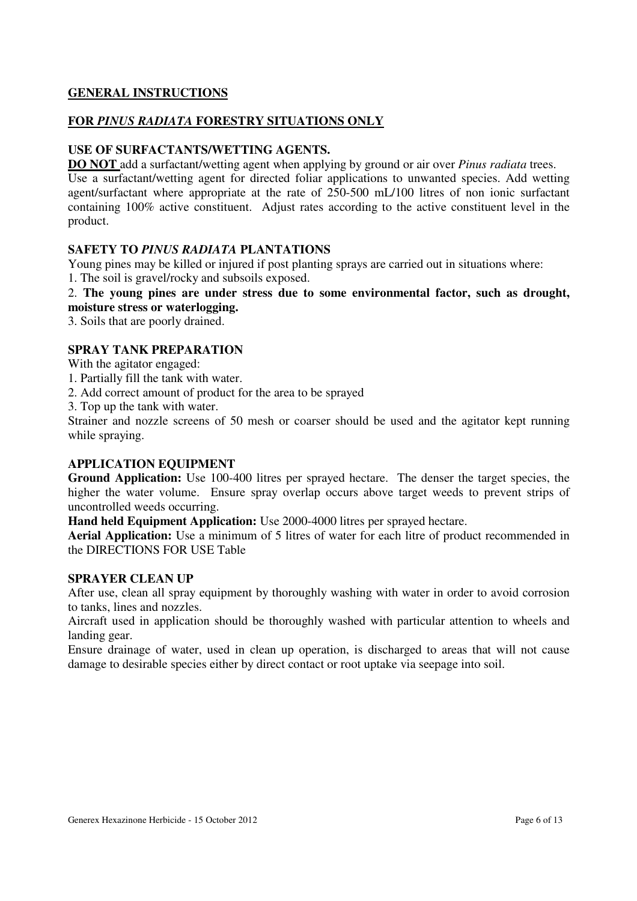# **GENERAL INSTRUCTIONS**

# **FOR** *PINUS RADIATA* **FORESTRY SITUATIONS ONLY**

# **USE OF SURFACTANTS/WETTING AGENTS.**

**DO NOT** add a surfactant/wetting agent when applying by ground or air over *Pinus radiata* trees. Use a surfactant/wetting agent for directed foliar applications to unwanted species. Add wetting agent/surfactant where appropriate at the rate of 250-500 mL/100 litres of non ionic surfactant containing 100% active constituent. Adjust rates according to the active constituent level in the product.

# **SAFETY TO** *PINUS RADIATA* **PLANTATIONS**

Young pines may be killed or injured if post planting sprays are carried out in situations where:

1. The soil is gravel/rocky and subsoils exposed.

2. **The young pines are under stress due to some environmental factor, such as drought, moisture stress or waterlogging.**

3. Soils that are poorly drained.

# **SPRAY TANK PREPARATION**

With the agitator engaged:

- 1. Partially fill the tank with water.
- 2. Add correct amount of product for the area to be sprayed

3. Top up the tank with water.

Strainer and nozzle screens of 50 mesh or coarser should be used and the agitator kept running while spraying.

# **APPLICATION EQUIPMENT**

**Ground Application:** Use 100-400 litres per sprayed hectare. The denser the target species, the higher the water volume. Ensure spray overlap occurs above target weeds to prevent strips of uncontrolled weeds occurring.

**Hand held Equipment Application:** Use 2000-4000 litres per sprayed hectare.

**Aerial Application:** Use a minimum of 5 litres of water for each litre of product recommended in the DIRECTIONS FOR USE Table

### **SPRAYER CLEAN UP**

After use, clean all spray equipment by thoroughly washing with water in order to avoid corrosion to tanks, lines and nozzles.

Aircraft used in application should be thoroughly washed with particular attention to wheels and landing gear.

Ensure drainage of water, used in clean up operation, is discharged to areas that will not cause damage to desirable species either by direct contact or root uptake via seepage into soil.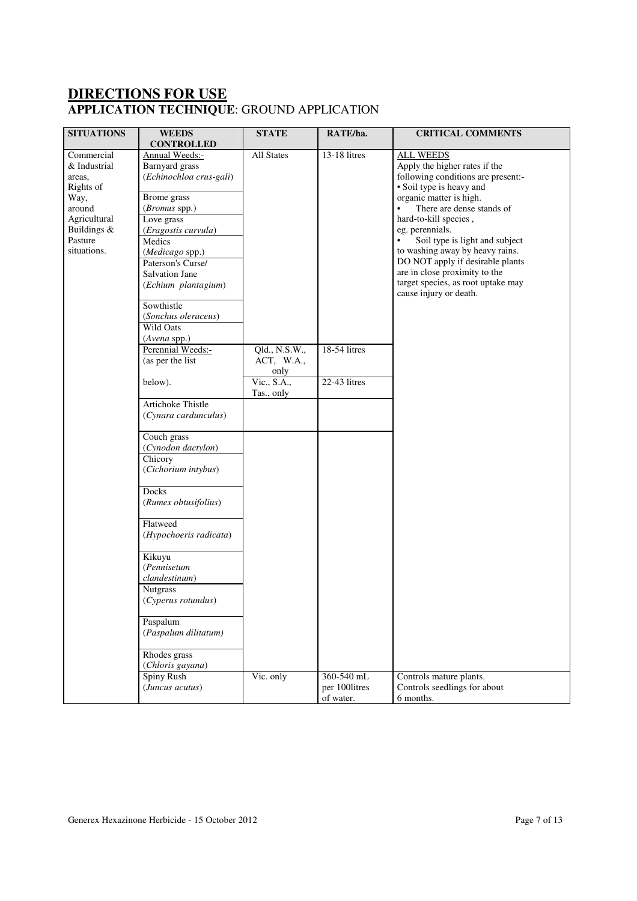# **DIRECTIONS FOR USE APPLICATION TECHNIQUE**: GROUND APPLICATION

| <b>SITUATIONS</b>                                                                                                            | <b>WEEDS</b>                                                                                                                                                                                                                                                     | <b>STATE</b>                        | RATE/ha.                                 | <b>CRITICAL COMMENTS</b>                                                                                                                                                                                                                                                                                                                                                                                                                                    |
|------------------------------------------------------------------------------------------------------------------------------|------------------------------------------------------------------------------------------------------------------------------------------------------------------------------------------------------------------------------------------------------------------|-------------------------------------|------------------------------------------|-------------------------------------------------------------------------------------------------------------------------------------------------------------------------------------------------------------------------------------------------------------------------------------------------------------------------------------------------------------------------------------------------------------------------------------------------------------|
|                                                                                                                              | <b>CONTROLLED</b>                                                                                                                                                                                                                                                |                                     |                                          |                                                                                                                                                                                                                                                                                                                                                                                                                                                             |
| Commercial<br>& Industrial<br>areas,<br>Rights of<br>Way,<br>around<br>Agricultural<br>Buildings &<br>Pasture<br>situations. | Annual Weeds:-<br>Barnyard grass<br>(Echinochloa crus-gali)<br>Brome grass<br>(Bromus spp.)<br>Love grass<br>(Eragostis curvula)<br>Medics<br>(Medicago spp.)<br>Paterson's Curse/<br>Salvation Jane<br>(Echium plantagium)<br>Sowthistle<br>(Sonchus oleraceus) | All States                          | 13-18 litres                             | <b>ALL WEEDS</b><br>Apply the higher rates if the<br>following conditions are present:-<br>· Soil type is heavy and<br>organic matter is high.<br>There are dense stands of<br>$\bullet$<br>hard-to-kill species,<br>eg. perennials.<br>Soil type is light and subject<br>$\bullet$<br>to washing away by heavy rains.<br>DO NOT apply if desirable plants<br>are in close proximity to the<br>target species, as root uptake may<br>cause injury or death. |
|                                                                                                                              | Wild Oats                                                                                                                                                                                                                                                        |                                     |                                          |                                                                                                                                                                                                                                                                                                                                                                                                                                                             |
|                                                                                                                              | (Avena spp.)<br>Perennial Weeds:-<br>(as per the list                                                                                                                                                                                                            | Qld., N.S.W.,<br>ACT, W.A.,<br>only | 18-54 litres                             |                                                                                                                                                                                                                                                                                                                                                                                                                                                             |
|                                                                                                                              | below).                                                                                                                                                                                                                                                          | Vic., S.A.,<br>Tas., only           | 22-43 litres                             |                                                                                                                                                                                                                                                                                                                                                                                                                                                             |
|                                                                                                                              | Artichoke Thistle<br>(Cynara cardunculus)                                                                                                                                                                                                                        |                                     |                                          |                                                                                                                                                                                                                                                                                                                                                                                                                                                             |
|                                                                                                                              | Couch grass<br>(Cynodon dactylon)<br>Chicory<br>(Cichorium intybus)                                                                                                                                                                                              |                                     |                                          |                                                                                                                                                                                                                                                                                                                                                                                                                                                             |
|                                                                                                                              | Docks<br>(Rumex obtusifolius)                                                                                                                                                                                                                                    |                                     |                                          |                                                                                                                                                                                                                                                                                                                                                                                                                                                             |
|                                                                                                                              | Flatweed<br>(Hypochoeris radicata)                                                                                                                                                                                                                               |                                     |                                          |                                                                                                                                                                                                                                                                                                                                                                                                                                                             |
|                                                                                                                              | Kikuyu<br>(Pennisetum<br>clandestinum)<br><b>Nutgrass</b><br>(Cyperus rotundus)                                                                                                                                                                                  |                                     |                                          |                                                                                                                                                                                                                                                                                                                                                                                                                                                             |
|                                                                                                                              | Paspalum<br>(Paspalum dilitatum)                                                                                                                                                                                                                                 |                                     |                                          |                                                                                                                                                                                                                                                                                                                                                                                                                                                             |
|                                                                                                                              | Rhodes grass<br>(Chloris gayana)                                                                                                                                                                                                                                 |                                     |                                          |                                                                                                                                                                                                                                                                                                                                                                                                                                                             |
|                                                                                                                              | Spiny Rush<br>(Juncus acutus)                                                                                                                                                                                                                                    | Vic. only                           | 360-540 mL<br>per 100litres<br>of water. | Controls mature plants.<br>Controls seedlings for about<br>6 months.                                                                                                                                                                                                                                                                                                                                                                                        |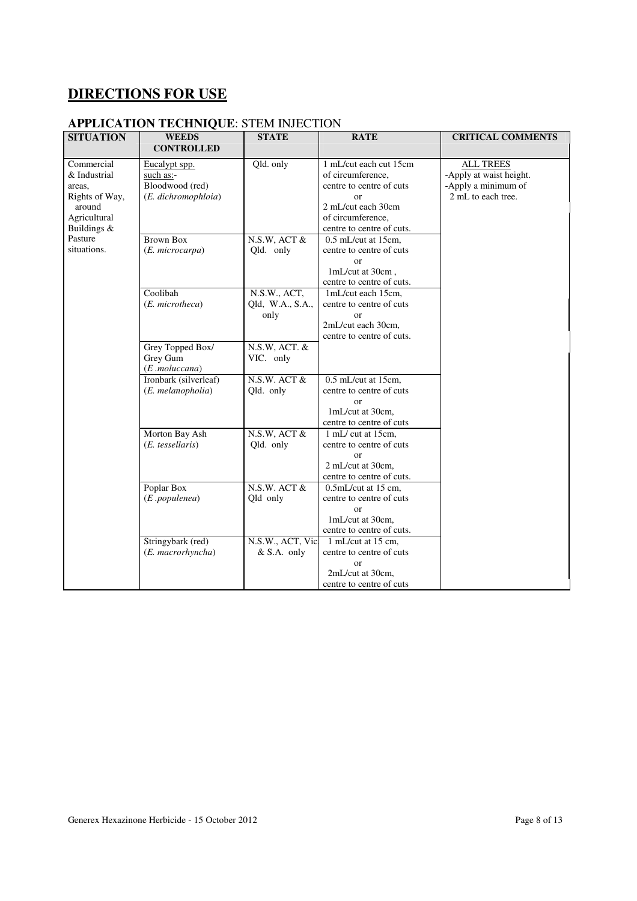# **DIRECTIONS FOR USE**

# **APPLICATION TECHNIQUE**: STEM INJECTION

| <b>SITUATION</b> | <b>WEEDS</b>          | <b>STATE</b>      | <b>RATE</b>               | <b>CRITICAL COMMENTS</b> |
|------------------|-----------------------|-------------------|---------------------------|--------------------------|
|                  | <b>CONTROLLED</b>     |                   |                           |                          |
| Commercial       | Eucalypt spp.         | Qld. only         | 1 mL/cut each cut 15cm    | <b>ALL TREES</b>         |
| & Industrial     | such as:-             |                   | of circumference,         | -Apply at waist height.  |
| areas.           | Bloodwood (red)       |                   | centre to centre of cuts  | -Apply a minimum of      |
| Rights of Way,   | (E. dichromophloia)   |                   | $\alpha$ r                | 2 mL to each tree.       |
| around           |                       |                   | 2 mL/cut each 30cm        |                          |
| Agricultural     |                       |                   | of circumference,         |                          |
| Buildings &      |                       |                   | centre to centre of cuts. |                          |
| Pasture          | <b>Brown Box</b>      | N.S.W, ACT &      | 0.5 mL/cut at 15cm,       |                          |
| situations.      | (E. microcarpa)       | Qld. only         | centre to centre of cuts  |                          |
|                  |                       |                   | $\alpha$                  |                          |
|                  |                       |                   | 1mL/cut at 30cm,          |                          |
|                  |                       |                   | centre to centre of cuts. |                          |
|                  | Coolibah              | N.S.W., ACT,      | 1mL/cut each 15cm,        |                          |
|                  | (E. microtheca)       | Qld, W.A., S.A.,  | centre to centre of cuts  |                          |
|                  |                       | only              | $\alpha$                  |                          |
|                  |                       |                   | 2mL/cut each 30cm,        |                          |
|                  |                       |                   | centre to centre of cuts. |                          |
|                  | Grey Topped Box/      | N.S.W, ACT. &     |                           |                          |
|                  | Grey Gum              | VIC. only         |                           |                          |
|                  | $(E$ .moluccana $)$   |                   |                           |                          |
|                  | Ironbark (silverleaf) | $N.S.W.$ ACT $&$  | 0.5 mL/cut at 15cm,       |                          |
|                  | (E. melanopholia)     | Qld. only         | centre to centre of cuts  |                          |
|                  |                       |                   | $\alpha$ r                |                          |
|                  |                       |                   | 1mL/cut at 30cm,          |                          |
|                  |                       |                   | centre to centre of cuts  |                          |
|                  | Morton Bay Ash        | N.S.W, ACT &      | 1 mL/ cut at 15cm,        |                          |
|                  | (E. tessellaris)      | Qld. only         | centre to centre of cuts  |                          |
|                  |                       |                   | $\alpha$                  |                          |
|                  |                       |                   | 2 mL/cut at 30cm.         |                          |
|                  |                       |                   | centre to centre of cuts. |                          |
|                  | Poplar Box            | $N.S.W.$ ACT $&$  | 0.5mL/cut at 15 cm,       |                          |
|                  | (E.populenea)         | Qld only          | centre to centre of cuts  |                          |
|                  |                       |                   | $\alpha$                  |                          |
|                  |                       |                   | 1mL/cut at 30cm.          |                          |
|                  |                       |                   | centre to centre of cuts. |                          |
|                  | Stringybark (red)     | N.S.W., ACT, Vic. | 1 mL/cut at 15 cm.        |                          |
|                  | (E. macrorhyncha)     | $&$ S.A. only     | centre to centre of cuts  |                          |
|                  |                       |                   | $\alpha$                  |                          |
|                  |                       |                   | 2mL/cut at 30cm,          |                          |
|                  |                       |                   | centre to centre of cuts  |                          |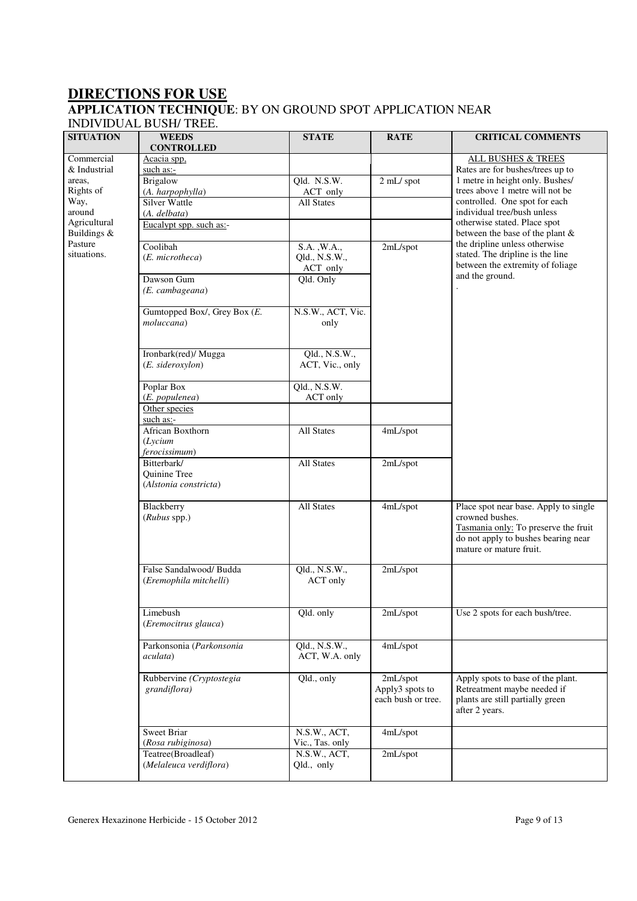# **DIRECTIONS FOR USE APPLICATION TECHNIQUE**: BY ON GROUND SPOT APPLICATION NEAR

# INDIVIDUAL BUSH/ TREE.

| Commercial<br>Acacia spp,<br><b>ALL BUSHES &amp; TREES</b><br>Rates are for bushes/trees up to<br>& Industrial<br>such as:-<br>Qld. N.S.W.<br>1 metre in height only. Bushes/<br><b>Brigalow</b><br>areas,<br>2 mL/ spot<br>trees above 1 metre will not be<br>Rights of<br>(A. harpophylla)<br>ACT only<br>controlled. One spot for each<br>Way,<br><b>Silver Wattle</b><br>All States<br>around<br>individual tree/bush unless<br>(A. delbata)<br>Agricultural<br>otherwise stated. Place spot<br>Eucalypt spp. such as:-<br>Buildings &<br>between the base of the plant &<br>Pasture<br>the dripline unless otherwise<br>Coolibah<br>$S.A.$ , W.A.,<br>2mL/spot<br>stated. The dripline is the line<br>situations.<br>(E. microtheca)<br>Qld., N.S.W.,<br>between the extremity of foliage<br>ACT only<br>and the ground.<br>Dawson Gum<br>Qld. Only<br>(E. cambageana)<br>Gumtopped Box/, Grey Box (E.<br>N.S.W., ACT, Vic.<br>moluccana)<br>only<br>Qld., N.S.W.,<br>Ironbark(red)/ Mugga<br>(E. sideroxylon)<br>ACT, Vic., only<br>Qld., N.S.W.<br>Poplar Box<br>(E. populenea)<br>ACT only<br>Other species<br>such as:-<br><b>All States</b><br>African Boxthorn<br>4mL/spot<br>(Lycium<br>ferocissimum)<br>All States<br>Bitterbark/<br>2mL/spot<br>Quinine Tree<br>(Alstonia constricta)<br><b>All States</b><br>Blackberry<br>4mL/spot<br>Place spot near base. Apply to single<br>crowned bushes.<br>$(Rubus$ spp.)<br>Tasmania only: To preserve the fruit<br>do not apply to bushes bearing near<br>mature or mature fruit.<br>False Sandalwood/Budda<br>Qld., N.S.W.,<br>2mL/spot<br>(Eremophila mitchelli)<br>ACT only<br>Limebush<br>Use 2 spots for each bush/tree.<br>Qld. only<br>2mL/spot<br>(Eremocitrus glauca)<br>Parkonsonia (Parkonsonia<br>Qld., N.S.W.,<br>4mL/spot<br>ACT, W.A. only<br>aculata)<br>2mL/spot<br>Rubbervine (Cryptostegia<br>Qld., only<br>Apply spots to base of the plant.<br>Apply3 spots to<br>Retreatment maybe needed if<br>grandiflora)<br>each bush or tree.<br>plants are still partially green<br>after 2 years.<br><b>Sweet Briar</b><br>N.S.W., ACT,<br>4mL/spot<br>(Rosa rubiginosa)<br>Vic., Tas. only<br>Teatree(Broadleaf)<br>N.S.W., ACT,<br>2mL/spot<br>(Melaleuca verdiflora)<br>Qld., only | <b>SITUATION</b> | пурту проже розни тиее.<br><b>WEEDS</b><br><b>CONTROLLED</b> | <b>STATE</b> | <b>RATE</b> | <b>CRITICAL COMMENTS</b> |
|-------------------------------------------------------------------------------------------------------------------------------------------------------------------------------------------------------------------------------------------------------------------------------------------------------------------------------------------------------------------------------------------------------------------------------------------------------------------------------------------------------------------------------------------------------------------------------------------------------------------------------------------------------------------------------------------------------------------------------------------------------------------------------------------------------------------------------------------------------------------------------------------------------------------------------------------------------------------------------------------------------------------------------------------------------------------------------------------------------------------------------------------------------------------------------------------------------------------------------------------------------------------------------------------------------------------------------------------------------------------------------------------------------------------------------------------------------------------------------------------------------------------------------------------------------------------------------------------------------------------------------------------------------------------------------------------------------------------------------------------------------------------------------------------------------------------------------------------------------------------------------------------------------------------------------------------------------------------------------------------------------------------------------------------------------------------------------------------------------------------------------------------------------------------------------------------------------------------------------------------------------------|------------------|--------------------------------------------------------------|--------------|-------------|--------------------------|
|                                                                                                                                                                                                                                                                                                                                                                                                                                                                                                                                                                                                                                                                                                                                                                                                                                                                                                                                                                                                                                                                                                                                                                                                                                                                                                                                                                                                                                                                                                                                                                                                                                                                                                                                                                                                                                                                                                                                                                                                                                                                                                                                                                                                                                                             |                  |                                                              |              |             |                          |
|                                                                                                                                                                                                                                                                                                                                                                                                                                                                                                                                                                                                                                                                                                                                                                                                                                                                                                                                                                                                                                                                                                                                                                                                                                                                                                                                                                                                                                                                                                                                                                                                                                                                                                                                                                                                                                                                                                                                                                                                                                                                                                                                                                                                                                                             |                  |                                                              |              |             |                          |
|                                                                                                                                                                                                                                                                                                                                                                                                                                                                                                                                                                                                                                                                                                                                                                                                                                                                                                                                                                                                                                                                                                                                                                                                                                                                                                                                                                                                                                                                                                                                                                                                                                                                                                                                                                                                                                                                                                                                                                                                                                                                                                                                                                                                                                                             |                  |                                                              |              |             |                          |
|                                                                                                                                                                                                                                                                                                                                                                                                                                                                                                                                                                                                                                                                                                                                                                                                                                                                                                                                                                                                                                                                                                                                                                                                                                                                                                                                                                                                                                                                                                                                                                                                                                                                                                                                                                                                                                                                                                                                                                                                                                                                                                                                                                                                                                                             |                  |                                                              |              |             |                          |
|                                                                                                                                                                                                                                                                                                                                                                                                                                                                                                                                                                                                                                                                                                                                                                                                                                                                                                                                                                                                                                                                                                                                                                                                                                                                                                                                                                                                                                                                                                                                                                                                                                                                                                                                                                                                                                                                                                                                                                                                                                                                                                                                                                                                                                                             |                  |                                                              |              |             |                          |
|                                                                                                                                                                                                                                                                                                                                                                                                                                                                                                                                                                                                                                                                                                                                                                                                                                                                                                                                                                                                                                                                                                                                                                                                                                                                                                                                                                                                                                                                                                                                                                                                                                                                                                                                                                                                                                                                                                                                                                                                                                                                                                                                                                                                                                                             |                  |                                                              |              |             |                          |
|                                                                                                                                                                                                                                                                                                                                                                                                                                                                                                                                                                                                                                                                                                                                                                                                                                                                                                                                                                                                                                                                                                                                                                                                                                                                                                                                                                                                                                                                                                                                                                                                                                                                                                                                                                                                                                                                                                                                                                                                                                                                                                                                                                                                                                                             |                  |                                                              |              |             |                          |
|                                                                                                                                                                                                                                                                                                                                                                                                                                                                                                                                                                                                                                                                                                                                                                                                                                                                                                                                                                                                                                                                                                                                                                                                                                                                                                                                                                                                                                                                                                                                                                                                                                                                                                                                                                                                                                                                                                                                                                                                                                                                                                                                                                                                                                                             |                  |                                                              |              |             |                          |
|                                                                                                                                                                                                                                                                                                                                                                                                                                                                                                                                                                                                                                                                                                                                                                                                                                                                                                                                                                                                                                                                                                                                                                                                                                                                                                                                                                                                                                                                                                                                                                                                                                                                                                                                                                                                                                                                                                                                                                                                                                                                                                                                                                                                                                                             |                  |                                                              |              |             |                          |
|                                                                                                                                                                                                                                                                                                                                                                                                                                                                                                                                                                                                                                                                                                                                                                                                                                                                                                                                                                                                                                                                                                                                                                                                                                                                                                                                                                                                                                                                                                                                                                                                                                                                                                                                                                                                                                                                                                                                                                                                                                                                                                                                                                                                                                                             |                  |                                                              |              |             |                          |
|                                                                                                                                                                                                                                                                                                                                                                                                                                                                                                                                                                                                                                                                                                                                                                                                                                                                                                                                                                                                                                                                                                                                                                                                                                                                                                                                                                                                                                                                                                                                                                                                                                                                                                                                                                                                                                                                                                                                                                                                                                                                                                                                                                                                                                                             |                  |                                                              |              |             |                          |
|                                                                                                                                                                                                                                                                                                                                                                                                                                                                                                                                                                                                                                                                                                                                                                                                                                                                                                                                                                                                                                                                                                                                                                                                                                                                                                                                                                                                                                                                                                                                                                                                                                                                                                                                                                                                                                                                                                                                                                                                                                                                                                                                                                                                                                                             |                  |                                                              |              |             |                          |
|                                                                                                                                                                                                                                                                                                                                                                                                                                                                                                                                                                                                                                                                                                                                                                                                                                                                                                                                                                                                                                                                                                                                                                                                                                                                                                                                                                                                                                                                                                                                                                                                                                                                                                                                                                                                                                                                                                                                                                                                                                                                                                                                                                                                                                                             |                  |                                                              |              |             |                          |
|                                                                                                                                                                                                                                                                                                                                                                                                                                                                                                                                                                                                                                                                                                                                                                                                                                                                                                                                                                                                                                                                                                                                                                                                                                                                                                                                                                                                                                                                                                                                                                                                                                                                                                                                                                                                                                                                                                                                                                                                                                                                                                                                                                                                                                                             |                  |                                                              |              |             |                          |
|                                                                                                                                                                                                                                                                                                                                                                                                                                                                                                                                                                                                                                                                                                                                                                                                                                                                                                                                                                                                                                                                                                                                                                                                                                                                                                                                                                                                                                                                                                                                                                                                                                                                                                                                                                                                                                                                                                                                                                                                                                                                                                                                                                                                                                                             |                  |                                                              |              |             |                          |
|                                                                                                                                                                                                                                                                                                                                                                                                                                                                                                                                                                                                                                                                                                                                                                                                                                                                                                                                                                                                                                                                                                                                                                                                                                                                                                                                                                                                                                                                                                                                                                                                                                                                                                                                                                                                                                                                                                                                                                                                                                                                                                                                                                                                                                                             |                  |                                                              |              |             |                          |
|                                                                                                                                                                                                                                                                                                                                                                                                                                                                                                                                                                                                                                                                                                                                                                                                                                                                                                                                                                                                                                                                                                                                                                                                                                                                                                                                                                                                                                                                                                                                                                                                                                                                                                                                                                                                                                                                                                                                                                                                                                                                                                                                                                                                                                                             |                  |                                                              |              |             |                          |
|                                                                                                                                                                                                                                                                                                                                                                                                                                                                                                                                                                                                                                                                                                                                                                                                                                                                                                                                                                                                                                                                                                                                                                                                                                                                                                                                                                                                                                                                                                                                                                                                                                                                                                                                                                                                                                                                                                                                                                                                                                                                                                                                                                                                                                                             |                  |                                                              |              |             |                          |
|                                                                                                                                                                                                                                                                                                                                                                                                                                                                                                                                                                                                                                                                                                                                                                                                                                                                                                                                                                                                                                                                                                                                                                                                                                                                                                                                                                                                                                                                                                                                                                                                                                                                                                                                                                                                                                                                                                                                                                                                                                                                                                                                                                                                                                                             |                  |                                                              |              |             |                          |
|                                                                                                                                                                                                                                                                                                                                                                                                                                                                                                                                                                                                                                                                                                                                                                                                                                                                                                                                                                                                                                                                                                                                                                                                                                                                                                                                                                                                                                                                                                                                                                                                                                                                                                                                                                                                                                                                                                                                                                                                                                                                                                                                                                                                                                                             |                  |                                                              |              |             |                          |
|                                                                                                                                                                                                                                                                                                                                                                                                                                                                                                                                                                                                                                                                                                                                                                                                                                                                                                                                                                                                                                                                                                                                                                                                                                                                                                                                                                                                                                                                                                                                                                                                                                                                                                                                                                                                                                                                                                                                                                                                                                                                                                                                                                                                                                                             |                  |                                                              |              |             |                          |
|                                                                                                                                                                                                                                                                                                                                                                                                                                                                                                                                                                                                                                                                                                                                                                                                                                                                                                                                                                                                                                                                                                                                                                                                                                                                                                                                                                                                                                                                                                                                                                                                                                                                                                                                                                                                                                                                                                                                                                                                                                                                                                                                                                                                                                                             |                  |                                                              |              |             |                          |
|                                                                                                                                                                                                                                                                                                                                                                                                                                                                                                                                                                                                                                                                                                                                                                                                                                                                                                                                                                                                                                                                                                                                                                                                                                                                                                                                                                                                                                                                                                                                                                                                                                                                                                                                                                                                                                                                                                                                                                                                                                                                                                                                                                                                                                                             |                  |                                                              |              |             |                          |
|                                                                                                                                                                                                                                                                                                                                                                                                                                                                                                                                                                                                                                                                                                                                                                                                                                                                                                                                                                                                                                                                                                                                                                                                                                                                                                                                                                                                                                                                                                                                                                                                                                                                                                                                                                                                                                                                                                                                                                                                                                                                                                                                                                                                                                                             |                  |                                                              |              |             |                          |
|                                                                                                                                                                                                                                                                                                                                                                                                                                                                                                                                                                                                                                                                                                                                                                                                                                                                                                                                                                                                                                                                                                                                                                                                                                                                                                                                                                                                                                                                                                                                                                                                                                                                                                                                                                                                                                                                                                                                                                                                                                                                                                                                                                                                                                                             |                  |                                                              |              |             |                          |
|                                                                                                                                                                                                                                                                                                                                                                                                                                                                                                                                                                                                                                                                                                                                                                                                                                                                                                                                                                                                                                                                                                                                                                                                                                                                                                                                                                                                                                                                                                                                                                                                                                                                                                                                                                                                                                                                                                                                                                                                                                                                                                                                                                                                                                                             |                  |                                                              |              |             |                          |
|                                                                                                                                                                                                                                                                                                                                                                                                                                                                                                                                                                                                                                                                                                                                                                                                                                                                                                                                                                                                                                                                                                                                                                                                                                                                                                                                                                                                                                                                                                                                                                                                                                                                                                                                                                                                                                                                                                                                                                                                                                                                                                                                                                                                                                                             |                  |                                                              |              |             |                          |
|                                                                                                                                                                                                                                                                                                                                                                                                                                                                                                                                                                                                                                                                                                                                                                                                                                                                                                                                                                                                                                                                                                                                                                                                                                                                                                                                                                                                                                                                                                                                                                                                                                                                                                                                                                                                                                                                                                                                                                                                                                                                                                                                                                                                                                                             |                  |                                                              |              |             |                          |
|                                                                                                                                                                                                                                                                                                                                                                                                                                                                                                                                                                                                                                                                                                                                                                                                                                                                                                                                                                                                                                                                                                                                                                                                                                                                                                                                                                                                                                                                                                                                                                                                                                                                                                                                                                                                                                                                                                                                                                                                                                                                                                                                                                                                                                                             |                  |                                                              |              |             |                          |
|                                                                                                                                                                                                                                                                                                                                                                                                                                                                                                                                                                                                                                                                                                                                                                                                                                                                                                                                                                                                                                                                                                                                                                                                                                                                                                                                                                                                                                                                                                                                                                                                                                                                                                                                                                                                                                                                                                                                                                                                                                                                                                                                                                                                                                                             |                  |                                                              |              |             |                          |
|                                                                                                                                                                                                                                                                                                                                                                                                                                                                                                                                                                                                                                                                                                                                                                                                                                                                                                                                                                                                                                                                                                                                                                                                                                                                                                                                                                                                                                                                                                                                                                                                                                                                                                                                                                                                                                                                                                                                                                                                                                                                                                                                                                                                                                                             |                  |                                                              |              |             |                          |
|                                                                                                                                                                                                                                                                                                                                                                                                                                                                                                                                                                                                                                                                                                                                                                                                                                                                                                                                                                                                                                                                                                                                                                                                                                                                                                                                                                                                                                                                                                                                                                                                                                                                                                                                                                                                                                                                                                                                                                                                                                                                                                                                                                                                                                                             |                  |                                                              |              |             |                          |
|                                                                                                                                                                                                                                                                                                                                                                                                                                                                                                                                                                                                                                                                                                                                                                                                                                                                                                                                                                                                                                                                                                                                                                                                                                                                                                                                                                                                                                                                                                                                                                                                                                                                                                                                                                                                                                                                                                                                                                                                                                                                                                                                                                                                                                                             |                  |                                                              |              |             |                          |
|                                                                                                                                                                                                                                                                                                                                                                                                                                                                                                                                                                                                                                                                                                                                                                                                                                                                                                                                                                                                                                                                                                                                                                                                                                                                                                                                                                                                                                                                                                                                                                                                                                                                                                                                                                                                                                                                                                                                                                                                                                                                                                                                                                                                                                                             |                  |                                                              |              |             |                          |
|                                                                                                                                                                                                                                                                                                                                                                                                                                                                                                                                                                                                                                                                                                                                                                                                                                                                                                                                                                                                                                                                                                                                                                                                                                                                                                                                                                                                                                                                                                                                                                                                                                                                                                                                                                                                                                                                                                                                                                                                                                                                                                                                                                                                                                                             |                  |                                                              |              |             |                          |
|                                                                                                                                                                                                                                                                                                                                                                                                                                                                                                                                                                                                                                                                                                                                                                                                                                                                                                                                                                                                                                                                                                                                                                                                                                                                                                                                                                                                                                                                                                                                                                                                                                                                                                                                                                                                                                                                                                                                                                                                                                                                                                                                                                                                                                                             |                  |                                                              |              |             |                          |
|                                                                                                                                                                                                                                                                                                                                                                                                                                                                                                                                                                                                                                                                                                                                                                                                                                                                                                                                                                                                                                                                                                                                                                                                                                                                                                                                                                                                                                                                                                                                                                                                                                                                                                                                                                                                                                                                                                                                                                                                                                                                                                                                                                                                                                                             |                  |                                                              |              |             |                          |
|                                                                                                                                                                                                                                                                                                                                                                                                                                                                                                                                                                                                                                                                                                                                                                                                                                                                                                                                                                                                                                                                                                                                                                                                                                                                                                                                                                                                                                                                                                                                                                                                                                                                                                                                                                                                                                                                                                                                                                                                                                                                                                                                                                                                                                                             |                  |                                                              |              |             |                          |
|                                                                                                                                                                                                                                                                                                                                                                                                                                                                                                                                                                                                                                                                                                                                                                                                                                                                                                                                                                                                                                                                                                                                                                                                                                                                                                                                                                                                                                                                                                                                                                                                                                                                                                                                                                                                                                                                                                                                                                                                                                                                                                                                                                                                                                                             |                  |                                                              |              |             |                          |
|                                                                                                                                                                                                                                                                                                                                                                                                                                                                                                                                                                                                                                                                                                                                                                                                                                                                                                                                                                                                                                                                                                                                                                                                                                                                                                                                                                                                                                                                                                                                                                                                                                                                                                                                                                                                                                                                                                                                                                                                                                                                                                                                                                                                                                                             |                  |                                                              |              |             |                          |
|                                                                                                                                                                                                                                                                                                                                                                                                                                                                                                                                                                                                                                                                                                                                                                                                                                                                                                                                                                                                                                                                                                                                                                                                                                                                                                                                                                                                                                                                                                                                                                                                                                                                                                                                                                                                                                                                                                                                                                                                                                                                                                                                                                                                                                                             |                  |                                                              |              |             |                          |
|                                                                                                                                                                                                                                                                                                                                                                                                                                                                                                                                                                                                                                                                                                                                                                                                                                                                                                                                                                                                                                                                                                                                                                                                                                                                                                                                                                                                                                                                                                                                                                                                                                                                                                                                                                                                                                                                                                                                                                                                                                                                                                                                                                                                                                                             |                  |                                                              |              |             |                          |
|                                                                                                                                                                                                                                                                                                                                                                                                                                                                                                                                                                                                                                                                                                                                                                                                                                                                                                                                                                                                                                                                                                                                                                                                                                                                                                                                                                                                                                                                                                                                                                                                                                                                                                                                                                                                                                                                                                                                                                                                                                                                                                                                                                                                                                                             |                  |                                                              |              |             |                          |
|                                                                                                                                                                                                                                                                                                                                                                                                                                                                                                                                                                                                                                                                                                                                                                                                                                                                                                                                                                                                                                                                                                                                                                                                                                                                                                                                                                                                                                                                                                                                                                                                                                                                                                                                                                                                                                                                                                                                                                                                                                                                                                                                                                                                                                                             |                  |                                                              |              |             |                          |
|                                                                                                                                                                                                                                                                                                                                                                                                                                                                                                                                                                                                                                                                                                                                                                                                                                                                                                                                                                                                                                                                                                                                                                                                                                                                                                                                                                                                                                                                                                                                                                                                                                                                                                                                                                                                                                                                                                                                                                                                                                                                                                                                                                                                                                                             |                  |                                                              |              |             |                          |
|                                                                                                                                                                                                                                                                                                                                                                                                                                                                                                                                                                                                                                                                                                                                                                                                                                                                                                                                                                                                                                                                                                                                                                                                                                                                                                                                                                                                                                                                                                                                                                                                                                                                                                                                                                                                                                                                                                                                                                                                                                                                                                                                                                                                                                                             |                  |                                                              |              |             |                          |
|                                                                                                                                                                                                                                                                                                                                                                                                                                                                                                                                                                                                                                                                                                                                                                                                                                                                                                                                                                                                                                                                                                                                                                                                                                                                                                                                                                                                                                                                                                                                                                                                                                                                                                                                                                                                                                                                                                                                                                                                                                                                                                                                                                                                                                                             |                  |                                                              |              |             |                          |
|                                                                                                                                                                                                                                                                                                                                                                                                                                                                                                                                                                                                                                                                                                                                                                                                                                                                                                                                                                                                                                                                                                                                                                                                                                                                                                                                                                                                                                                                                                                                                                                                                                                                                                                                                                                                                                                                                                                                                                                                                                                                                                                                                                                                                                                             |                  |                                                              |              |             |                          |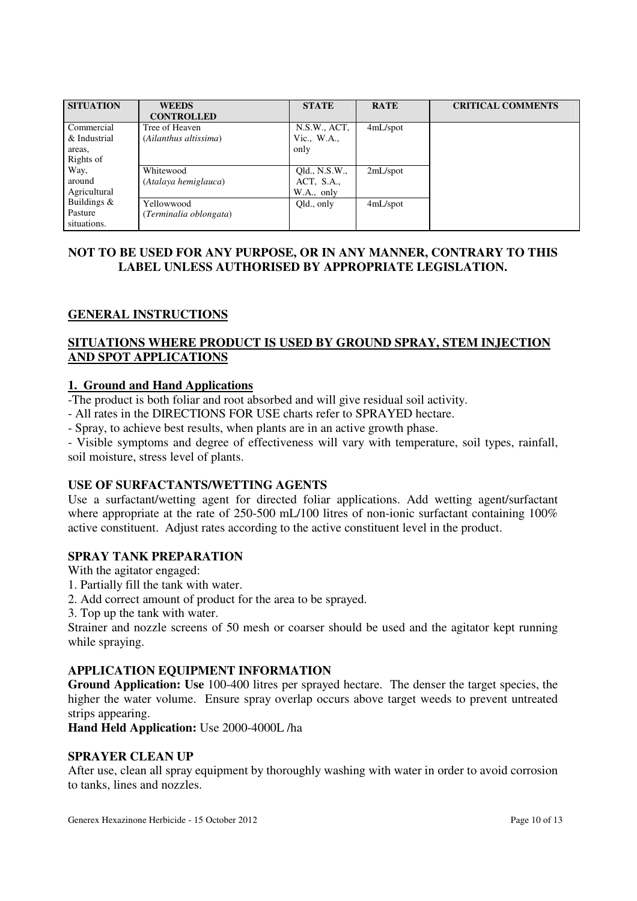| <b>SITUATION</b> | <b>WEEDS</b>           | <b>STATE</b>  | <b>RATE</b> | <b>CRITICAL COMMENTS</b> |
|------------------|------------------------|---------------|-------------|--------------------------|
|                  | <b>CONTROLLED</b>      |               |             |                          |
| Commercial       | Tree of Heaven         | N.S.W., ACT,  | $4mL$ /spot |                          |
| & Industrial     | (Ailanthus altissima)  | Vic., $W.A.,$ |             |                          |
| areas,           |                        | only          |             |                          |
| Rights of        |                        |               |             |                          |
| Way,             | Whitewood              | Qld., N.S.W., | $2mL$ /spot |                          |
| around           | (Atalaya hemiglauca)   | ACT, S.A.,    |             |                          |
| Agricultural     |                        | W.A., only    |             |                          |
| Buildings $&$    | Yellowwood             | Qld., only    | 4mL/spot    |                          |
| Pasture          | (Terminalia oblongata) |               |             |                          |
| situations.      |                        |               |             |                          |

# **NOT TO BE USED FOR ANY PURPOSE, OR IN ANY MANNER, CONTRARY TO THIS LABEL UNLESS AUTHORISED BY APPROPRIATE LEGISLATION.**

# **GENERAL INSTRUCTIONS**

# **SITUATIONS WHERE PRODUCT IS USED BY GROUND SPRAY, STEM INJECTION AND SPOT APPLICATIONS**

### **1. Ground and Hand Applications**

-The product is both foliar and root absorbed and will give residual soil activity.

- All rates in the DIRECTIONS FOR USE charts refer to SPRAYED hectare.

- Spray, to achieve best results, when plants are in an active growth phase.

- Visible symptoms and degree of effectiveness will vary with temperature, soil types, rainfall, soil moisture, stress level of plants.

# **USE OF SURFACTANTS/WETTING AGENTS**

Use a surfactant/wetting agent for directed foliar applications. Add wetting agent/surfactant where appropriate at the rate of 250-500 mL/100 litres of non-ionic surfactant containing 100% active constituent. Adjust rates according to the active constituent level in the product.

# **SPRAY TANK PREPARATION**

With the agitator engaged:

- 1. Partially fill the tank with water.
- 2. Add correct amount of product for the area to be sprayed.
- 3. Top up the tank with water.

Strainer and nozzle screens of 50 mesh or coarser should be used and the agitator kept running while spraying.

# **APPLICATION EQUIPMENT INFORMATION**

**Ground Application: Use** 100-400 litres per sprayed hectare. The denser the target species, the higher the water volume. Ensure spray overlap occurs above target weeds to prevent untreated strips appearing.

**Hand Held Application:** Use 2000-4000L /ha

### **SPRAYER CLEAN UP**

After use, clean all spray equipment by thoroughly washing with water in order to avoid corrosion to tanks, lines and nozzles.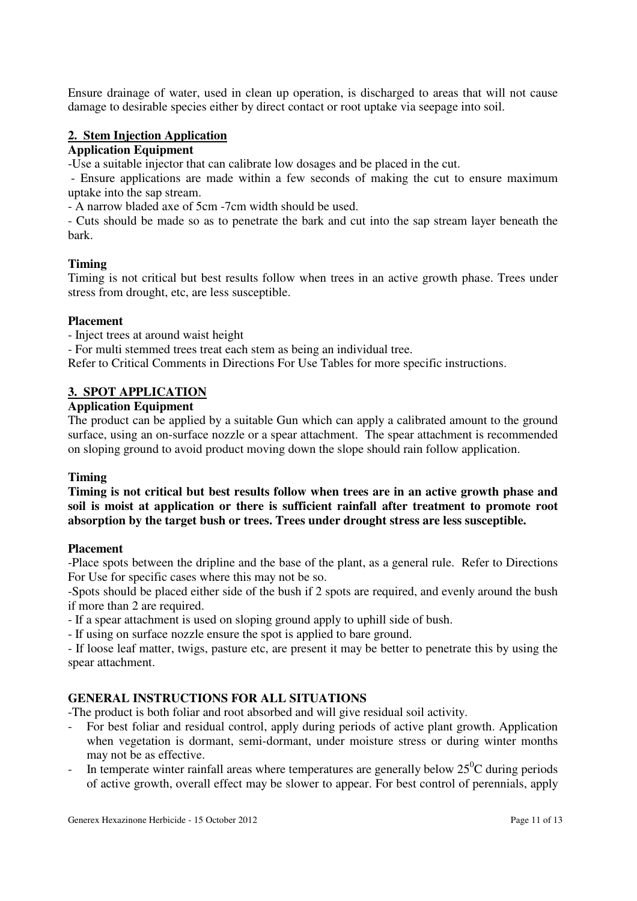Ensure drainage of water, used in clean up operation, is discharged to areas that will not cause damage to desirable species either by direct contact or root uptake via seepage into soil.

# **2. Stem Injection Application**

# **Application Equipment**

-Use a suitable injector that can calibrate low dosages and be placed in the cut.

 - Ensure applications are made within a few seconds of making the cut to ensure maximum uptake into the sap stream.

- A narrow bladed axe of 5cm -7cm width should be used.

- Cuts should be made so as to penetrate the bark and cut into the sap stream layer beneath the bark.

### **Timing**

Timing is not critical but best results follow when trees in an active growth phase. Trees under stress from drought, etc, are less susceptible.

#### **Placement**

- Inject trees at around waist height

- For multi stemmed trees treat each stem as being an individual tree.

Refer to Critical Comments in Directions For Use Tables for more specific instructions.

# **3. SPOT APPLICATION**

# **Application Equipment**

The product can be applied by a suitable Gun which can apply a calibrated amount to the ground surface, using an on-surface nozzle or a spear attachment. The spear attachment is recommended on sloping ground to avoid product moving down the slope should rain follow application.

### **Timing**

**Timing is not critical but best results follow when trees are in an active growth phase and soil is moist at application or there is sufficient rainfall after treatment to promote root absorption by the target bush or trees. Trees under drought stress are less susceptible.** 

#### **Placement**

-Place spots between the dripline and the base of the plant, as a general rule. Refer to Directions For Use for specific cases where this may not be so.

-Spots should be placed either side of the bush if 2 spots are required, and evenly around the bush if more than 2 are required.

- If a spear attachment is used on sloping ground apply to uphill side of bush.

- If using on surface nozzle ensure the spot is applied to bare ground.

- If loose leaf matter, twigs, pasture etc, are present it may be better to penetrate this by using the spear attachment.

# **GENERAL INSTRUCTIONS FOR ALL SITUATIONS**

-The product is both foliar and root absorbed and will give residual soil activity.

- For best foliar and residual control, apply during periods of active plant growth. Application when vegetation is dormant, semi-dormant, under moisture stress or during winter months may not be as effective.
- In temperate winter rainfall areas where temperatures are generally below  $25^{\circ}$ C during periods of active growth, overall effect may be slower to appear. For best control of perennials, apply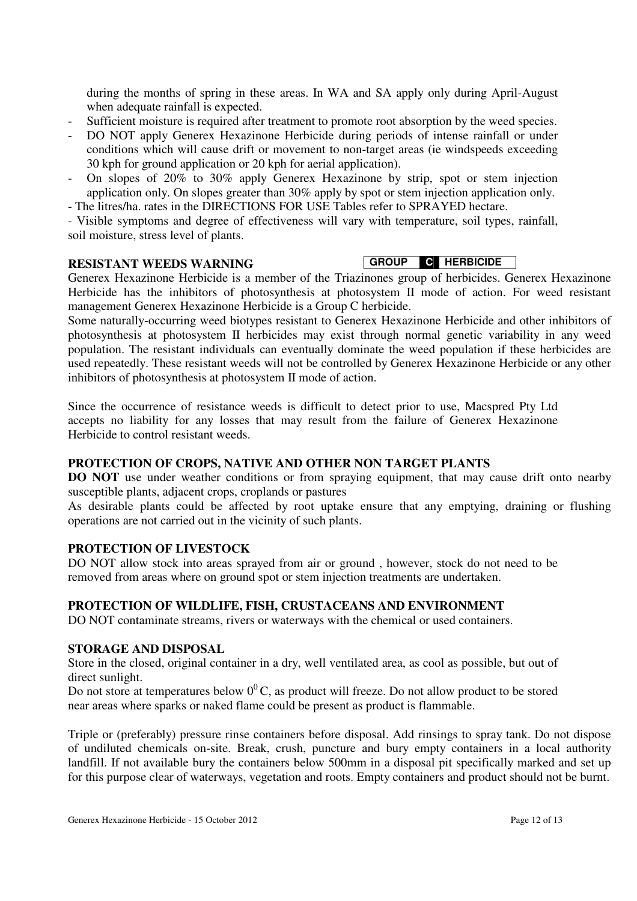during the months of spring in these areas. In WA and SA apply only during April-August when adequate rainfall is expected.

- Sufficient moisture is required after treatment to promote root absorption by the weed species.
- DO NOT apply Generex Hexazinone Herbicide during periods of intense rainfall or under conditions which will cause drift or movement to non-target areas (ie windspeeds exceeding 30 kph for ground application or 20 kph for aerial application).
- On slopes of 20% to 30% apply Generex Hexazinone by strip, spot or stem injection application only. On slopes greater than 30% apply by spot or stem injection application only.
- The litres/ha. rates in the DIRECTIONS FOR USE Tables refer to SPRAYED hectare.

- Visible symptoms and degree of effectiveness will vary with temperature, soil types, rainfall, soil moisture, stress level of plants.

# **RESISTANT WEEDS WARNING**

# **GROUP C HERBICIDE**

Generex Hexazinone Herbicide is a member of the Triazinones group of herbicides. Generex Hexazinone Herbicide has the inhibitors of photosynthesis at photosystem II mode of action. For weed resistant management Generex Hexazinone Herbicide is a Group C herbicide.

Some naturally-occurring weed biotypes resistant to Generex Hexazinone Herbicide and other inhibitors of photosynthesis at photosystem II herbicides may exist through normal genetic variability in any weed population. The resistant individuals can eventually dominate the weed population if these herbicides are used repeatedly. These resistant weeds will not be controlled by Generex Hexazinone Herbicide or any other inhibitors of photosynthesis at photosystem II mode of action.

Since the occurrence of resistance weeds is difficult to detect prior to use, Macspred Pty Ltd accepts no liability for any losses that may result from the failure of Generex Hexazinone Herbicide to control resistant weeds.

# **PROTECTION OF CROPS, NATIVE AND OTHER NON TARGET PLANTS**

**DO NOT** use under weather conditions or from spraying equipment, that may cause drift onto nearby susceptible plants, adjacent crops, croplands or pastures

As desirable plants could be affected by root uptake ensure that any emptying, draining or flushing operations are not carried out in the vicinity of such plants.

# **PROTECTION OF LIVESTOCK**

DO NOT allow stock into areas sprayed from air or ground , however, stock do not need to be removed from areas where on ground spot or stem injection treatments are undertaken.

### **PROTECTION OF WILDLIFE, FISH, CRUSTACEANS AND ENVIRONMENT**

DO NOT contaminate streams, rivers or waterways with the chemical or used containers.

### **STORAGE AND DISPOSAL**

Store in the closed, original container in a dry, well ventilated area, as cool as possible, but out of direct sunlight.

Do not store at temperatures below  $0^0$ C, as product will freeze. Do not allow product to be stored near areas where sparks or naked flame could be present as product is flammable.

Triple or (preferably) pressure rinse containers before disposal. Add rinsings to spray tank. Do not dispose of undiluted chemicals on-site. Break, crush, puncture and bury empty containers in a local authority landfill. If not available bury the containers below 500mm in a disposal pit specifically marked and set up for this purpose clear of waterways, vegetation and roots. Empty containers and product should not be burnt.